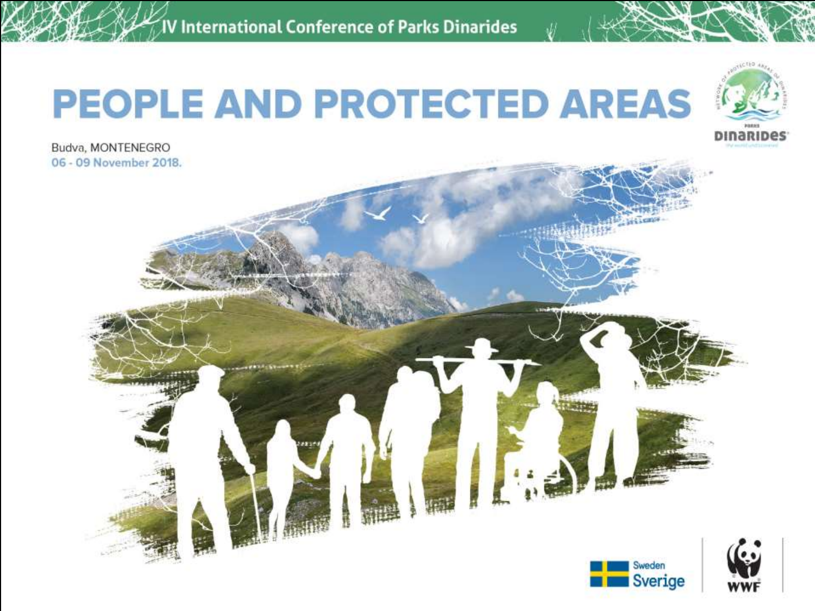V International Conference of Parks Dinarides

# **PEOPLE AND PROTECTED AREAS**



Sverige

Budva, MONTENEGRO 06 - 09 November 2018.

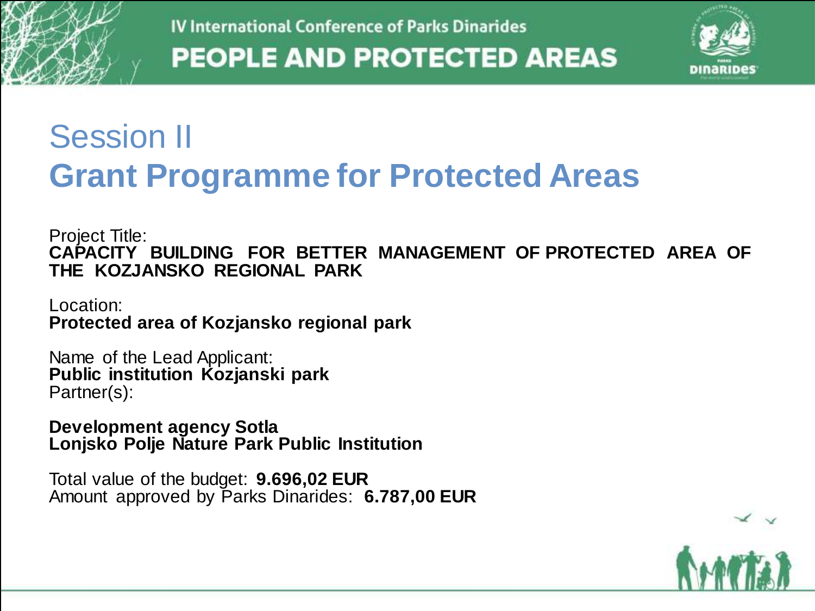

#### Session II **Grant Programme for Protected Areas**

Project Title: **CAPACITY BUILDING FOR BETTER MANAGEMENT OF PROTECTED AREA OF THE KOZJANSKO REGIONAL PARK**

Location: **Protected area of Kozjansko regional park**

Name of the Lead Applicant: **Public institution Kozjanski park** Partner(s):

**Development agency Sotla Lonjsko Polje Nature Park Public Institution**

Total value of the budget: **9.696,02 EUR** Amount approved by Parks Dinarides: **6.787,00 EUR**

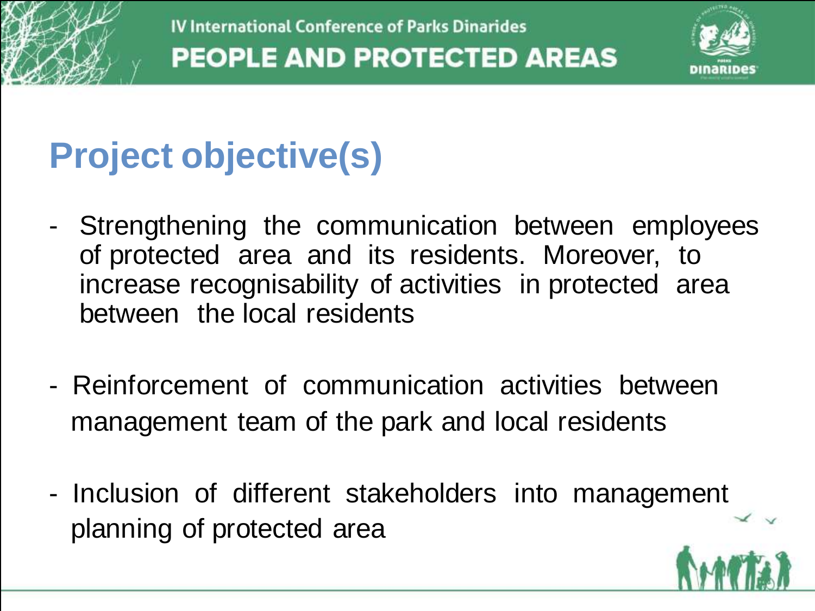

## **Project objective(s)**

- Strengthening the communication between employees of protected area and its residents. Moreover, to increase recognisability of activities in protected area between the local residents
- Reinforcement of communication activities between management team of the park and local residents
- Inclusion of different stakeholders into management planning of protected area

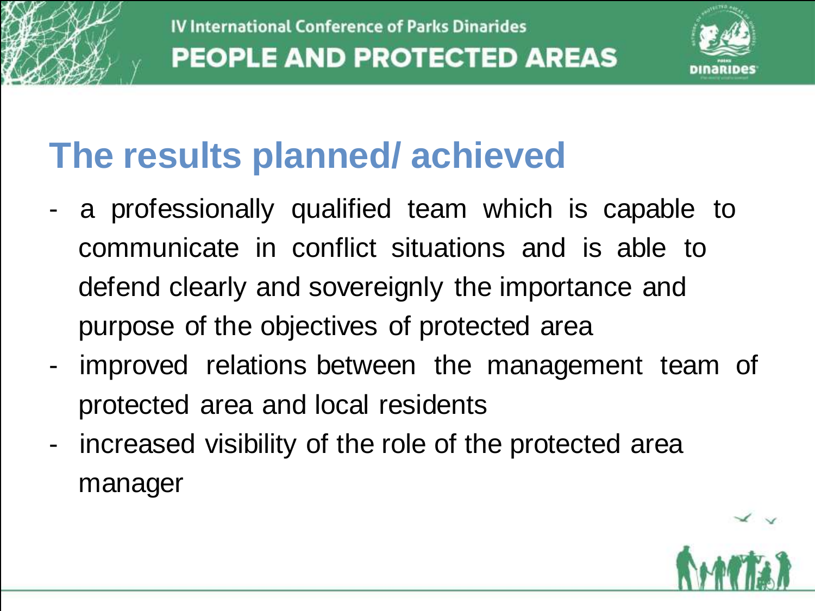

### **The results planned/ achieved**

- a professionally qualified team which is capable to communicate in conflict situations and is able to defend clearly and sovereignly the importance and purpose of the objectives of protected area
- improved relations between the management team of protected area and local residents
- increased visibility of the role of the protected area manager

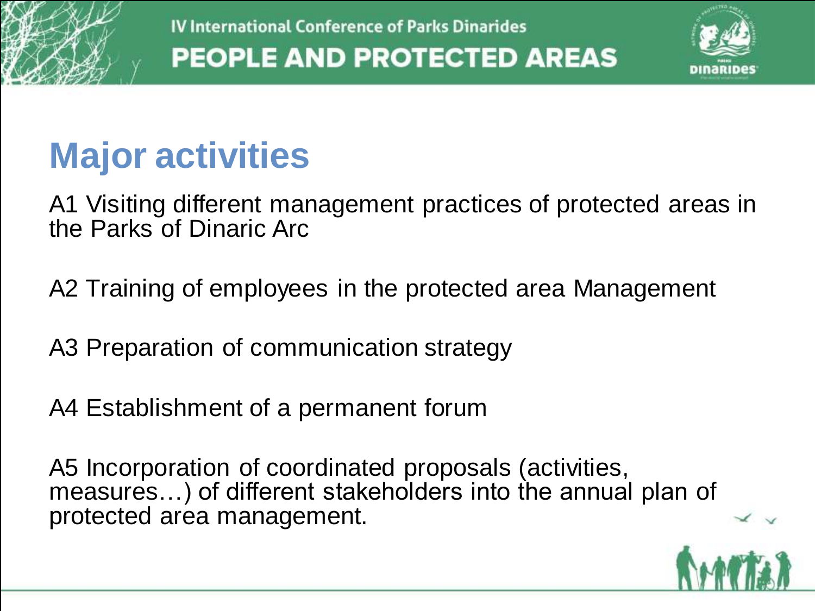

### **Major activities**

A1 Visiting different management practices of protected areas in the Parks of Dinaric Arc

A2 Training of employees in the protected area Management

A3 Preparation of communication strategy

A4 Establishment of a permanent forum

A5 Incorporation of coordinated proposals (activities, measures...) of different stakeholders into the annual plan of protected area management.

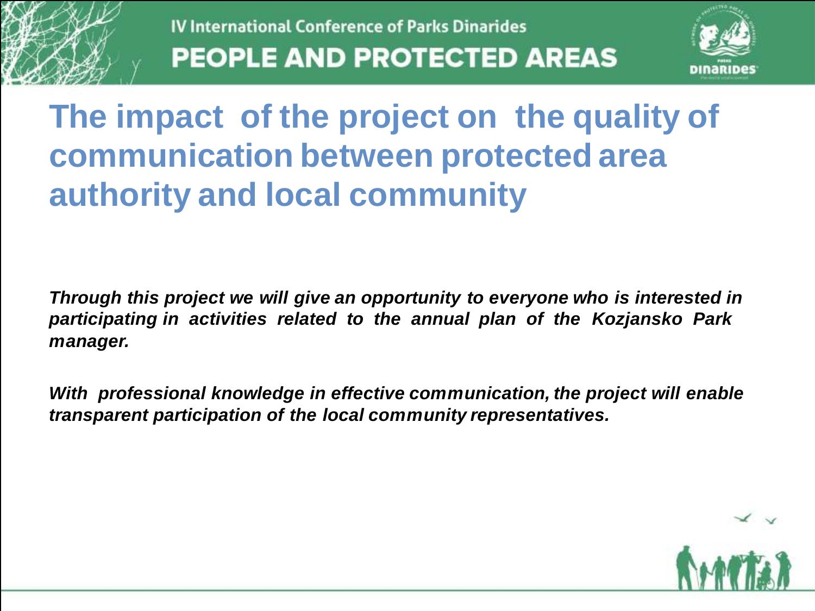

#### **The impact of the project on the quality of communication between protected area authority and local community**

*Through this project we will give an opportunity to everyone who is interested in participating in activities related to the annual plan of the Kozjansko Park manager.* 

*With professional knowledge in effective communication, the project will enable transparent participation of the local community representatives.*

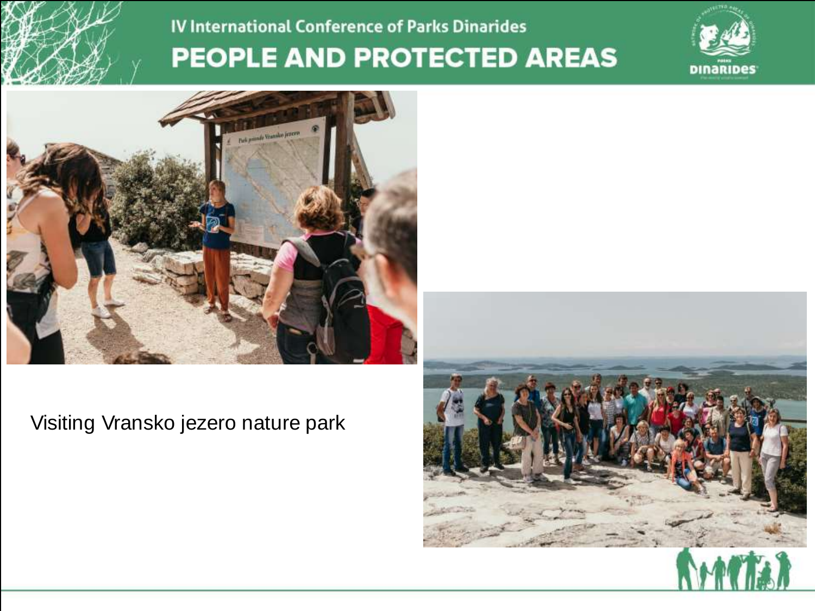





Visiting Vransko jezero nature park